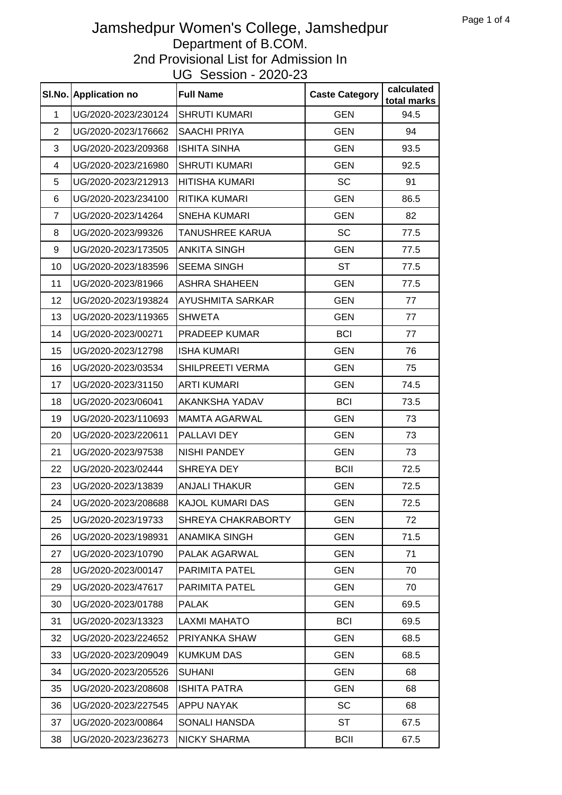|                | SI.No. Application no | <b>Full Name</b>       | <b>Caste Category</b> | calculated<br>total marks |
|----------------|-----------------------|------------------------|-----------------------|---------------------------|
| $\mathbf{1}$   | UG/2020-2023/230124   | <b>SHRUTI KUMARI</b>   | <b>GEN</b>            | 94.5                      |
| $\overline{2}$ | UG/2020-2023/176662   | <b>SAACHI PRIYA</b>    | <b>GEN</b>            | 94                        |
| 3              | UG/2020-2023/209368   | <b>ISHITA SINHA</b>    | <b>GEN</b>            | 93.5                      |
| 4              | UG/2020-2023/216980   | <b>SHRUTI KUMARI</b>   | <b>GEN</b>            | 92.5                      |
| 5              | UG/2020-2023/212913   | <b>HITISHA KUMARI</b>  | <b>SC</b>             | 91                        |
| 6              | UG/2020-2023/234100   | RITIKA KUMARI          | <b>GEN</b>            | 86.5                      |
| $\overline{7}$ | UG/2020-2023/14264    | <b>SNEHA KUMARI</b>    | <b>GEN</b>            | 82                        |
| 8              | UG/2020-2023/99326    | <b>TANUSHREE KARUA</b> | <b>SC</b>             | 77.5                      |
| 9              | UG/2020-2023/173505   | <b>ANKITA SINGH</b>    | <b>GEN</b>            | 77.5                      |
| 10             | UG/2020-2023/183596   | <b>SEEMA SINGH</b>     | <b>ST</b>             | 77.5                      |
| 11             | UG/2020-2023/81966    | <b>ASHRA SHAHEEN</b>   | <b>GEN</b>            | 77.5                      |
| 12             | UG/2020-2023/193824   | AYUSHMITA SARKAR       | <b>GEN</b>            | 77                        |
| 13             | UG/2020-2023/119365   | <b>SHWETA</b>          | <b>GEN</b>            | 77                        |
| 14             | UG/2020-2023/00271    | PRADEEP KUMAR          | <b>BCI</b>            | 77                        |
| 15             | UG/2020-2023/12798    | <b>ISHA KUMARI</b>     | <b>GEN</b>            | 76                        |
| 16             | UG/2020-2023/03534    | SHILPREETI VERMA       | <b>GEN</b>            | 75                        |
| 17             | UG/2020-2023/31150    | <b>ARTI KUMARI</b>     | <b>GEN</b>            | 74.5                      |
| 18             | UG/2020-2023/06041    | <b>AKANKSHA YADAV</b>  | <b>BCI</b>            | 73.5                      |
| 19             | UG/2020-2023/110693   | <b>MAMTA AGARWAL</b>   | <b>GEN</b>            | 73                        |
| 20             | UG/2020-2023/220611   | PALLAVI DEY            | <b>GEN</b>            | 73                        |
| 21             | UG/2020-2023/97538    | <b>NISHI PANDEY</b>    | <b>GEN</b>            | 73                        |
| 22             | UG/2020-2023/02444    | SHREYA DEY             | <b>BCII</b>           | 72.5                      |
| 23             | UG/2020-2023/13839    | <b>ANJALI THAKUR</b>   | <b>GEN</b>            | 72.5                      |
| 24             | UG/2020-2023/208688   | KAJOL KUMARI DAS       | <b>GEN</b>            | 72.5                      |
| 25             | UG/2020-2023/19733    | SHREYA CHAKRABORTY     | <b>GEN</b>            | 72                        |
| 26             | UG/2020-2023/198931   | <b>ANAMIKA SINGH</b>   | <b>GEN</b>            | 71.5                      |
| 27             | UG/2020-2023/10790    | PALAK AGARWAL          | <b>GEN</b>            | 71                        |
| 28             | UG/2020-2023/00147    | PARIMITA PATEL         | <b>GEN</b>            | 70                        |
| 29             | UG/2020-2023/47617    | PARIMITA PATEL         | <b>GEN</b>            | 70                        |
| 30             | UG/2020-2023/01788    | <b>PALAK</b>           | <b>GEN</b>            | 69.5                      |
| 31             | UG/2020-2023/13323    | <b>LAXMI MAHATO</b>    | <b>BCI</b>            | 69.5                      |
| 32             | UG/2020-2023/224652   | PRIYANKA SHAW          | <b>GEN</b>            | 68.5                      |
| 33             | UG/2020-2023/209049   | <b>KUMKUM DAS</b>      | <b>GEN</b>            | 68.5                      |
| 34             | UG/2020-2023/205526   | <b>SUHANI</b>          | <b>GEN</b>            | 68                        |
| 35             | UG/2020-2023/208608   | <b>ISHITA PATRA</b>    | <b>GEN</b>            | 68                        |
| 36             | UG/2020-2023/227545   | APPU NAYAK             | <b>SC</b>             | 68                        |
| 37             | UG/2020-2023/00864    | SONALI HANSDA          | <b>ST</b>             | 67.5                      |
| 38             | UG/2020-2023/236273   | <b>NICKY SHARMA</b>    | <b>BCII</b>           | 67.5                      |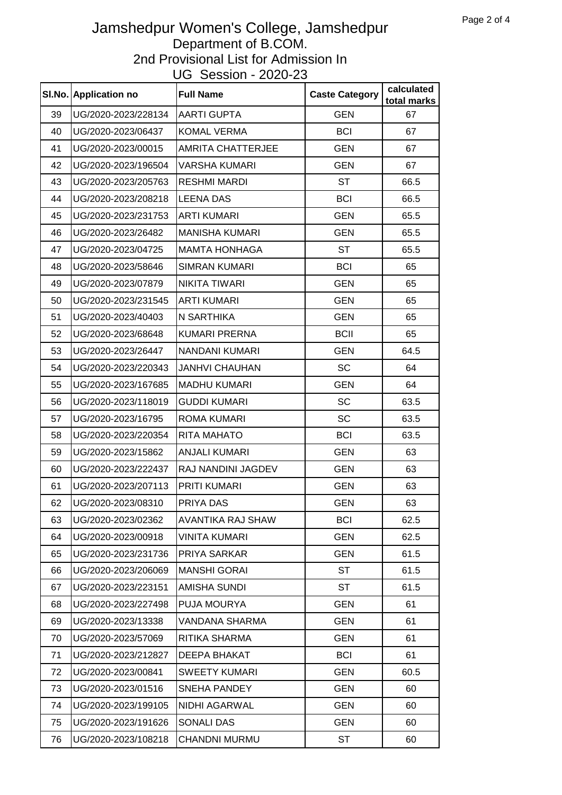|    | SI.No. Application no | <b>Full Name</b>         | <b>Caste Category</b> | calculated<br>total marks |
|----|-----------------------|--------------------------|-----------------------|---------------------------|
| 39 | UG/2020-2023/228134   | <b>AARTI GUPTA</b>       | <b>GEN</b>            | 67                        |
| 40 | UG/2020-2023/06437    | <b>KOMAL VERMA</b>       | <b>BCI</b>            | 67                        |
| 41 | UG/2020-2023/00015    | <b>AMRITA CHATTERJEE</b> | <b>GEN</b>            | 67                        |
| 42 | UG/2020-2023/196504   | <b>VARSHA KUMARI</b>     | <b>GEN</b>            | 67                        |
| 43 | UG/2020-2023/205763   | <b>RESHMI MARDI</b>      | <b>ST</b>             | 66.5                      |
| 44 | UG/2020-2023/208218   | <b>LEENA DAS</b>         | <b>BCI</b>            | 66.5                      |
| 45 | UG/2020-2023/231753   | <b>ARTI KUMARI</b>       | <b>GEN</b>            | 65.5                      |
| 46 | UG/2020-2023/26482    | <b>MANISHA KUMARI</b>    | <b>GEN</b>            | 65.5                      |
| 47 | UG/2020-2023/04725    | <b>MAMTA HONHAGA</b>     | <b>ST</b>             | 65.5                      |
| 48 | UG/2020-2023/58646    | <b>SIMRAN KUMARI</b>     | <b>BCI</b>            | 65                        |
| 49 | UG/2020-2023/07879    | <b>NIKITA TIWARI</b>     | <b>GEN</b>            | 65                        |
| 50 | UG/2020-2023/231545   | <b>ARTI KUMARI</b>       | <b>GEN</b>            | 65                        |
| 51 | UG/2020-2023/40403    | N SARTHIKA               | <b>GEN</b>            | 65                        |
| 52 | UG/2020-2023/68648    | <b>KUMARI PRERNA</b>     | <b>BCII</b>           | 65                        |
| 53 | UG/2020-2023/26447    | NANDANI KUMARI           | <b>GEN</b>            | 64.5                      |
| 54 | UG/2020-2023/220343   | <b>JANHVI CHAUHAN</b>    | SC                    | 64                        |
| 55 | UG/2020-2023/167685   | <b>MADHU KUMARI</b>      | <b>GEN</b>            | 64                        |
| 56 | UG/2020-2023/118019   | <b>GUDDI KUMARI</b>      | SC                    | 63.5                      |
| 57 | UG/2020-2023/16795    | <b>ROMA KUMARI</b>       | SC                    | 63.5                      |
| 58 | UG/2020-2023/220354   | RITA MAHATO              | <b>BCI</b>            | 63.5                      |
| 59 | UG/2020-2023/15862    | <b>ANJALI KUMARI</b>     | <b>GEN</b>            | 63                        |
| 60 | UG/2020-2023/222437   | RAJ NANDINI JAGDEV       | <b>GEN</b>            | 63                        |
| 61 | UG/2020-2023/207113   | <b>PRITI KUMARI</b>      | <b>GEN</b>            | 63                        |
| 62 | UG/2020-2023/08310    | PRIYA DAS                | <b>GEN</b>            | 63                        |
| 63 | UG/2020-2023/02362    | AVANTIKA RAJ SHAW        | <b>BCI</b>            | 62.5                      |
| 64 | UG/2020-2023/00918    | <b>VINITA KUMARI</b>     | <b>GEN</b>            | 62.5                      |
| 65 | UG/2020-2023/231736   | PRIYA SARKAR             | <b>GEN</b>            | 61.5                      |
| 66 | UG/2020-2023/206069   | <b>MANSHI GORAI</b>      | <b>ST</b>             | 61.5                      |
| 67 | UG/2020-2023/223151   | <b>AMISHA SUNDI</b>      | <b>ST</b>             | 61.5                      |
| 68 | UG/2020-2023/227498   | PUJA MOURYA              | <b>GEN</b>            | 61                        |
| 69 | UG/2020-2023/13338    | VANDANA SHARMA           | <b>GEN</b>            | 61                        |
| 70 | UG/2020-2023/57069    | RITIKA SHARMA            | <b>GEN</b>            | 61                        |
| 71 | UG/2020-2023/212827   | <b>DEEPA BHAKAT</b>      | <b>BCI</b>            | 61                        |
| 72 | UG/2020-2023/00841    | <b>SWEETY KUMARI</b>     | <b>GEN</b>            | 60.5                      |
| 73 | UG/2020-2023/01516    | <b>SNEHA PANDEY</b>      | <b>GEN</b>            | 60                        |
| 74 | UG/2020-2023/199105   | <b>NIDHI AGARWAL</b>     | <b>GEN</b>            | 60                        |
| 75 | UG/2020-2023/191626   | <b>SONALI DAS</b>        | <b>GEN</b>            | 60                        |
| 76 | UG/2020-2023/108218   | <b>CHANDNI MURMU</b>     | <b>ST</b>             | 60                        |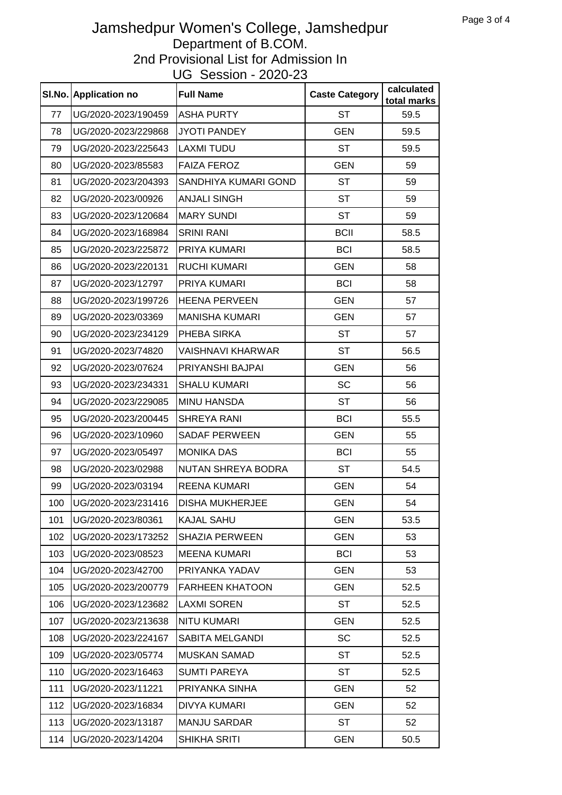|     | SI.No. Application no | <b>Full Name</b>          | <b>Caste Category</b> | calculated<br>total marks |
|-----|-----------------------|---------------------------|-----------------------|---------------------------|
| 77  | UG/2020-2023/190459   | <b>ASHA PURTY</b>         | <b>ST</b>             | 59.5                      |
| 78  | UG/2020-2023/229868   | <b>JYOTI PANDEY</b>       | <b>GEN</b>            | 59.5                      |
| 79  | UG/2020-2023/225643   | <b>LAXMI TUDU</b>         | ST                    | 59.5                      |
| 80  | UG/2020-2023/85583    | <b>FAIZA FEROZ</b>        | <b>GEN</b>            | 59                        |
| 81  | UG/2020-2023/204393   | SANDHIYA KUMARI GOND      | ST                    | 59                        |
| 82  | UG/2020-2023/00926    | <b>ANJALI SINGH</b>       | <b>ST</b>             | 59                        |
| 83  | UG/2020-2023/120684   | <b>MARY SUNDI</b>         | <b>ST</b>             | 59                        |
| 84  | UG/2020-2023/168984   | <b>SRINI RANI</b>         | <b>BCII</b>           | 58.5                      |
| 85  | UG/2020-2023/225872   | PRIYA KUMARI              | <b>BCI</b>            | 58.5                      |
| 86  | UG/2020-2023/220131   | <b>RUCHI KUMARI</b>       | <b>GEN</b>            | 58                        |
| 87  | UG/2020-2023/12797    | PRIYA KUMARI              | <b>BCI</b>            | 58                        |
| 88  | UG/2020-2023/199726   | <b>HEENA PERVEEN</b>      | <b>GEN</b>            | 57                        |
| 89  | UG/2020-2023/03369    | <b>MANISHA KUMARI</b>     | <b>GEN</b>            | 57                        |
| 90  | UG/2020-2023/234129   | PHEBA SIRKA               | <b>ST</b>             | 57                        |
| 91  | UG/2020-2023/74820    | <b>VAISHNAVI KHARWAR</b>  | <b>ST</b>             | 56.5                      |
| 92  | UG/2020-2023/07624    | PRIYANSHI BAJPAI          | <b>GEN</b>            | 56                        |
| 93  | UG/2020-2023/234331   | <b>SHALU KUMARI</b>       | <b>SC</b>             | 56                        |
| 94  | UG/2020-2023/229085   | <b>MINU HANSDA</b>        | <b>ST</b>             | 56                        |
| 95  | UG/2020-2023/200445   | <b>SHREYA RANI</b>        | <b>BCI</b>            | 55.5                      |
| 96  | UG/2020-2023/10960    | <b>SADAF PERWEEN</b>      | <b>GEN</b>            | 55                        |
| 97  | UG/2020-2023/05497    | <b>MONIKA DAS</b>         | <b>BCI</b>            | 55                        |
| 98  | UG/2020-2023/02988    | <b>NUTAN SHREYA BODRA</b> | <b>ST</b>             | 54.5                      |
| 99  | UG/2020-2023/03194    | <b>REENA KUMARI</b>       | <b>GEN</b>            | 54                        |
| 100 | UG/2020-2023/231416   | <b>DISHA MUKHERJEE</b>    | GEN                   | 54                        |
| 101 | UG/2020-2023/80361    | <b>KAJAL SAHU</b>         | <b>GEN</b>            | 53.5                      |
| 102 | UG/2020-2023/173252   | <b>SHAZIA PERWEEN</b>     | <b>GEN</b>            | 53                        |
| 103 | UG/2020-2023/08523    | <b>MEENA KUMARI</b>       | <b>BCI</b>            | 53                        |
| 104 | UG/2020-2023/42700    | PRIYANKA YADAV            | <b>GEN</b>            | 53                        |
| 105 | UG/2020-2023/200779   | <b>FARHEEN KHATOON</b>    | <b>GEN</b>            | 52.5                      |
| 106 | UG/2020-2023/123682   | <b>LAXMI SOREN</b>        | <b>ST</b>             | 52.5                      |
| 107 | UG/2020-2023/213638   | <b>NITU KUMARI</b>        | <b>GEN</b>            | 52.5                      |
| 108 | UG/2020-2023/224167   | SABITA MELGANDI           | <b>SC</b>             | 52.5                      |
| 109 | UG/2020-2023/05774    | <b>MUSKAN SAMAD</b>       | <b>ST</b>             | 52.5                      |
| 110 | UG/2020-2023/16463    | <b>SUMTI PAREYA</b>       | <b>ST</b>             | 52.5                      |
| 111 | UG/2020-2023/11221    | PRIYANKA SINHA            | <b>GEN</b>            | 52                        |
| 112 | UG/2020-2023/16834    | <b>DIVYA KUMARI</b>       | <b>GEN</b>            | 52                        |
| 113 | UG/2020-2023/13187    | <b>MANJU SARDAR</b>       | <b>ST</b>             | 52                        |
| 114 | UG/2020-2023/14204    | <b>SHIKHA SRITI</b>       | <b>GEN</b>            | 50.5                      |